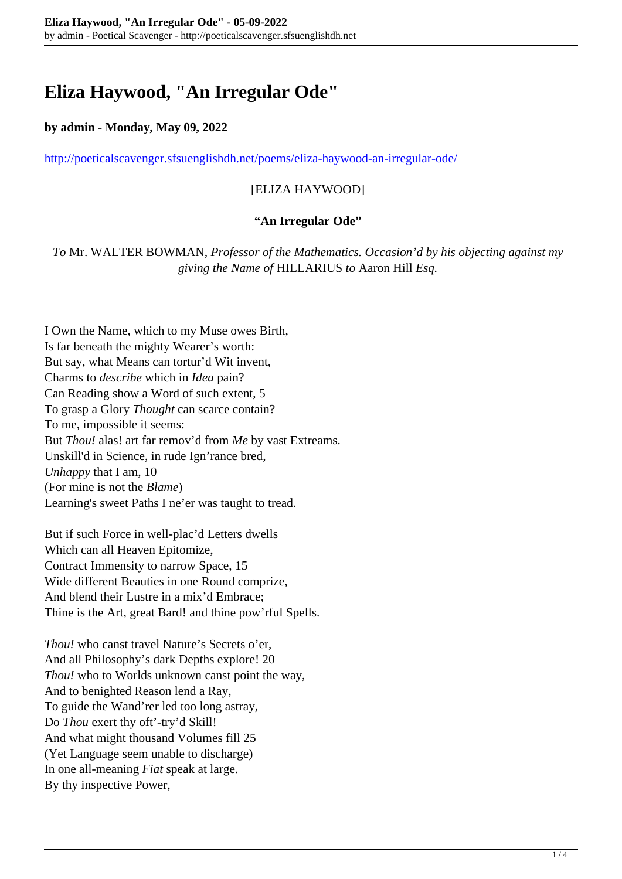# **Eliza Haywood, "An Irregular Ode"**

#### **by admin - Monday, May 09, 2022**

<http://poeticalscavenger.sfsuenglishdh.net/poems/eliza-haywood-an-irregular-ode/>

### [ELIZA HAYWOOD]

#### **"An Irregular Ode"**

*To* Mr. WALTER BOWMAN, *Professor of the Mathematics. Occasion'd by his objecting against my giving the Name of* HILLARIUS *to* Aaron Hill *Esq.*

I Own the Name, which to my Muse owes Birth, Is far beneath the mighty Wearer's worth: But say, what Means can tortur'd Wit invent, Charms to *describe* which in *Idea* pain? Can Reading show a Word of such extent, 5 To grasp a Glory *Thought* can scarce contain? To me, impossible it seems: But *Thou!* alas! art far remov'd from *Me* by vast Extreams. Unskill'd in Science, in rude Ign'rance bred, *Unhappy* that I am, 10 (For mine is not the *Blame*) Learning's sweet Paths I ne'er was taught to tread.

But if such Force in well-plac'd Letters dwells Which can all Heaven Epitomize, Contract Immensity to narrow Space, 15 Wide different Beauties in one Round comprize, And blend their Lustre in a mix'd Embrace; Thine is the Art, great Bard! and thine pow'rful Spells.

*Thou!* who canst travel Nature's Secrets o'er, And all Philosophy's dark Depths explore! 20 *Thou!* who to Worlds unknown canst point the way, And to benighted Reason lend a Ray, To guide the Wand'rer led too long astray, Do *Thou* exert thy oft'-try'd Skill! And what might thousand Volumes fill 25 (Yet Language seem unable to discharge) In one all-meaning *Fiat* speak at large. By thy inspective Power,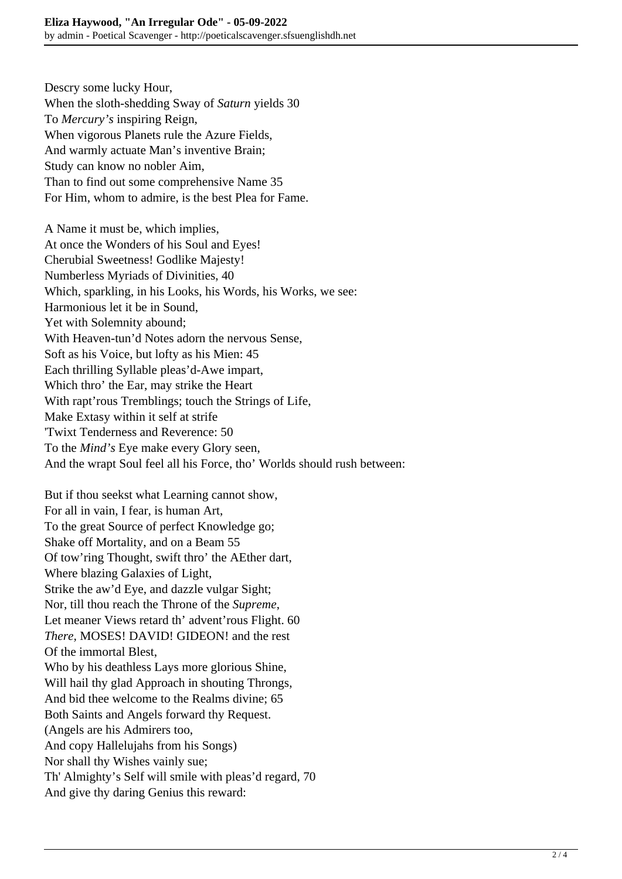Descry some lucky Hour, When the sloth-shedding Sway of *Saturn* yields 30 To *Mercury's* inspiring Reign, When vigorous Planets rule the Azure Fields, And warmly actuate Man's inventive Brain; Study can know no nobler Aim, Than to find out some comprehensive Name 35 For Him, whom to admire, is the best Plea for Fame.

A Name it must be, which implies, At once the Wonders of his Soul and Eyes! Cherubial Sweetness! Godlike Majesty! Numberless Myriads of Divinities, 40 Which, sparkling, in his Looks, his Words, his Works, we see: Harmonious let it be in Sound, Yet with Solemnity abound; With Heaven-tun'd Notes adorn the nervous Sense, Soft as his Voice, but lofty as his Mien: 45 Each thrilling Syllable pleas'd-Awe impart, Which thro' the Ear, may strike the Heart With rapt'rous Tremblings; touch the Strings of Life, Make Extasy within it self at strife 'Twixt Tenderness and Reverence: 50 To the *Mind's* Eye make every Glory seen, And the wrapt Soul feel all his Force, tho' Worlds should rush between:

But if thou seekst what Learning cannot show, For all in vain, I fear, is human Art, To the great Source of perfect Knowledge go; Shake off Mortality, and on a Beam 55 Of tow'ring Thought, swift thro' the AEther dart, Where blazing Galaxies of Light, Strike the aw'd Eye, and dazzle vulgar Sight; Nor, till thou reach the Throne of the *Supreme*, Let meaner Views retard th' advent'rous Flight. 60 *There,* MOSES! DAVID! GIDEON! and the rest Of the immortal Blest, Who by his deathless Lays more glorious Shine, Will hail thy glad Approach in shouting Throngs, And bid thee welcome to the Realms divine; 65 Both Saints and Angels forward thy Request. (Angels are his Admirers too, And copy Hallelujahs from his Songs) Nor shall thy Wishes vainly sue; Th' Almighty's Self will smile with pleas'd regard, 70 And give thy daring Genius this reward: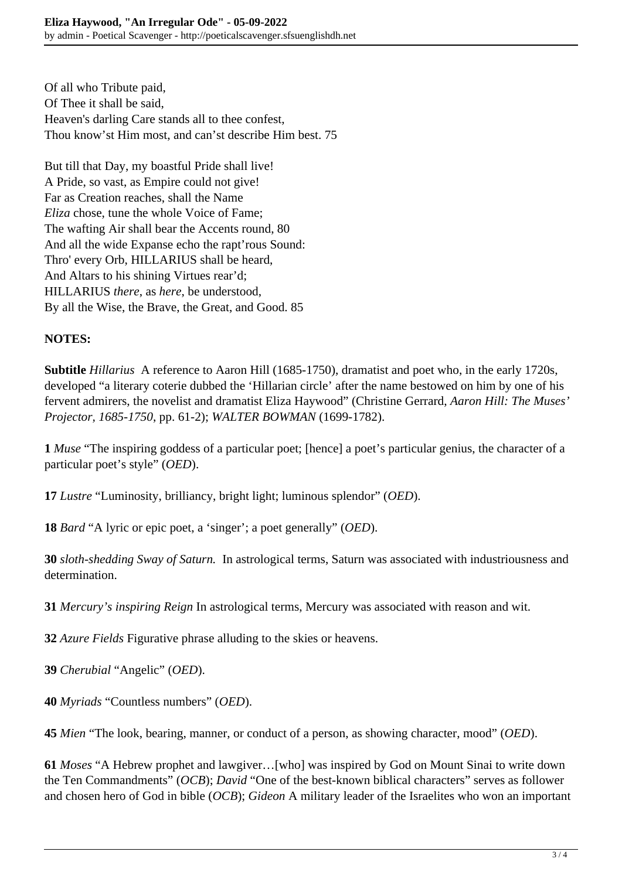Of all who Tribute paid, Of Thee it shall be said, Heaven's darling Care stands all to thee confest, Thou know'st Him most, and can'st describe Him best. 75

But till that Day, my boastful Pride shall live! A Pride, so vast, as Empire could not give! Far as Creation reaches, shall the Name *Eliza* chose, tune the whole Voice of Fame; The wafting Air shall bear the Accents round, 80 And all the wide Expanse echo the rapt'rous Sound: Thro' every Orb, HILLARIUS shall be heard, And Altars to his shining Virtues rear'd; HILLARIUS *there*, as *here*, be understood, By all the Wise, the Brave, the Great, and Good. 85

# **NOTES:**

**Subtitle** *Hillarius* A reference to Aaron Hill (1685-1750), dramatist and poet who, in the early 1720s, developed "a literary coterie dubbed the 'Hillarian circle' after the name bestowed on him by one of his fervent admirers, the novelist and dramatist Eliza Haywood" (Christine Gerrard, *Aaron Hill: The Muses' Projector, 1685-1750*, pp. 61-2); *WALTER BOWMAN* (1699-1782).

**1** *Muse* "The inspiring goddess of a particular poet; [hence] a poet's particular genius, the character of a particular poet's style" (*OED*).

**17** *Lustre* "Luminosity, brilliancy, bright light; luminous splendor" (*OED*).

**18** *Bard* "A lyric or epic poet, a 'singer'; a poet generally" (*OED*).

**30** *sloth-shedding Sway of Saturn.* In astrological terms, Saturn was associated with industriousness and determination.

**31** *Mercury's inspiring Reign* In astrological terms, Mercury was associated with reason and wit.

**32** *Azure Fields* Figurative phrase alluding to the skies or heavens.

**39** *Cherubial* "Angelic" (*OED*).

**40** *Myriads* "Countless numbers" (*OED*).

**45** *Mien* "The look, bearing, manner, or conduct of a person, as showing character, mood" (*OED*).

**61** *Moses* "A Hebrew prophet and lawgiver…[who] was inspired by God on Mount Sinai to write down the Ten Commandments" (*OCB*); *David* "One of the best-known biblical characters" serves as follower and chosen hero of God in bible (*OCB*); *Gideon* A military leader of the Israelites who won an important